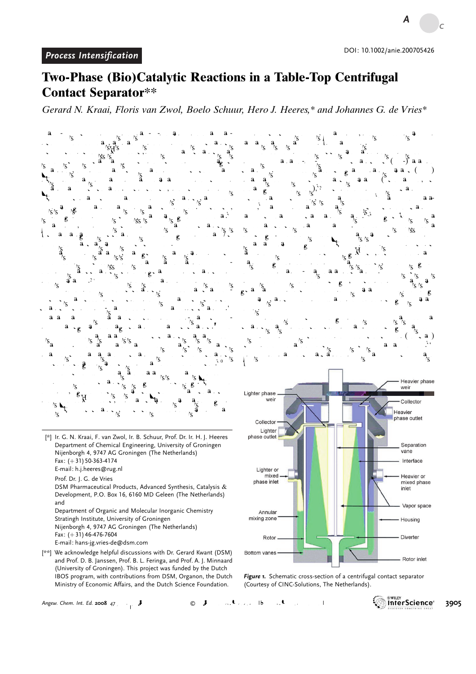*Angewandte*

*Chemie*

## Two-Phase (Bio)Catalytic Reactions in a Table-Top Centrifugal Contact Separator\*\*

Gerard N. Kraai, Floris van Zwol, Boelo Schuur, Hero J. Heeres,\* and Johannes G. de Vries\*

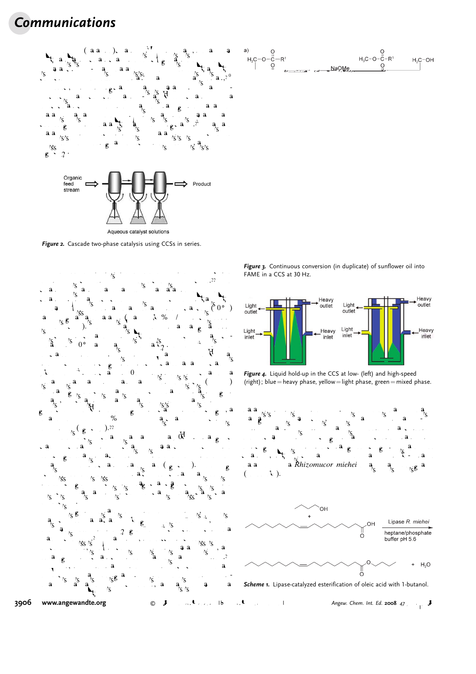## Communications



Figure 2. Cascade two-phase catalysis using CCSs in series.





Figure 3. Continuous conversion (in duplicate) of sunflower oil into FAME in a CCS at 30 Hz.









Scheme 1. Lipase-catalyzed esterification of oleic acid with 1-butanol.

3906 [www.angewandte.org](http://www.angewandte.org)  $2^{3}$   $2^{4}$   $3^{10}$   $4^{10}$   $4^{10}$   $4^{10}$   $4^{10}$   $4^{10}$   $4^{10}$   $4^{10}$   $4^{10}$   $4^{10}$   $4^{10}$   $4^{10}$   $4^{10}$   $4^{10}$   $4^{10}$   $4^{10}$   $4^{10}$   $4^{10}$   $4^{10}$   $4^{10}$   $4^{10}$   $4^{10}$   $4^{10}$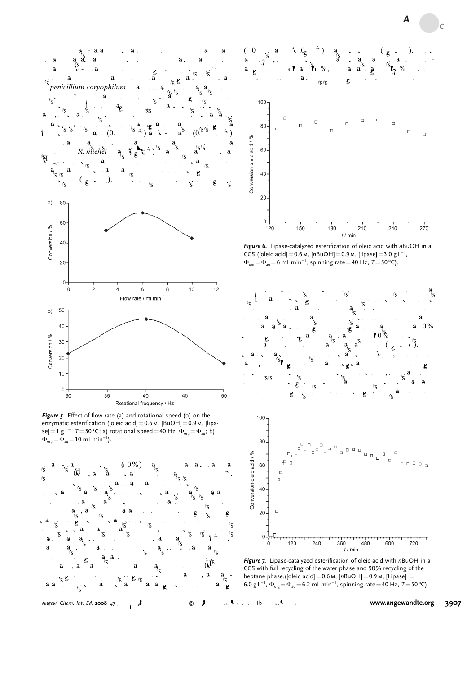

Figure 5. Effect of flow rate (a) and rotational speed (b) on the enzymatic esterification ([oleic acid] = 0.6 м, [BuOH] = 0.9 м, [lipase]=1 g L $^{-1}$  T = 50°C; a) rotational speed=40 Hz,  $\Phi_{\text{org}}=\Phi_{\text{aq}}$ ; b)  $\Phi_{\text{org}} = \Phi_{\text{aq}} = 10 \text{ mLmin}^{-1}$ ).





Figure 6. Lipase-catalyzed esterification of oleic acid with nBuOH in a CCS ([oleic acid] =  $0.6$  M, [nBuOH] =  $0.9$  M, [lipase] =  $3.0$  g L<sup>-1</sup>,  $\Phi_{\textsf{\tiny org}}\!=\!\Phi_{\textsf{\tiny aq}}\!=\!$  6 mLmin $^{-1}$ , spinning rate  $=$  40 Hz, T  $=$  50 °C).





Figure 7. Lipase-catalyzed esterification of oleic acid with nBuOH in a CCS with full recycling of the water phase and 90% recycling of the heptane phase.([oleic acid] =  $0.6$  M,  $[nBuOH] = 0.9$  M,  $[Lipase] =$ 6.0 g L<sup>-1</sup>,  $\Phi_{\text{org}} = \Phi_{\text{aq}} = 6.2 \text{ mLmin}^{-1}$ , spinning rate = 40 Hz, T = 50 °C).

Angew. Chem. Int. Ed. 2008 47,  $\overrightarrow{3}$  6  $\overrightarrow{3}$  6  $\overrightarrow{4}$  /  $\overrightarrow{2}$  1 [www.angewandte.org](http://www.angewandte.org) 3907

*Angewandte*

*Chemie*